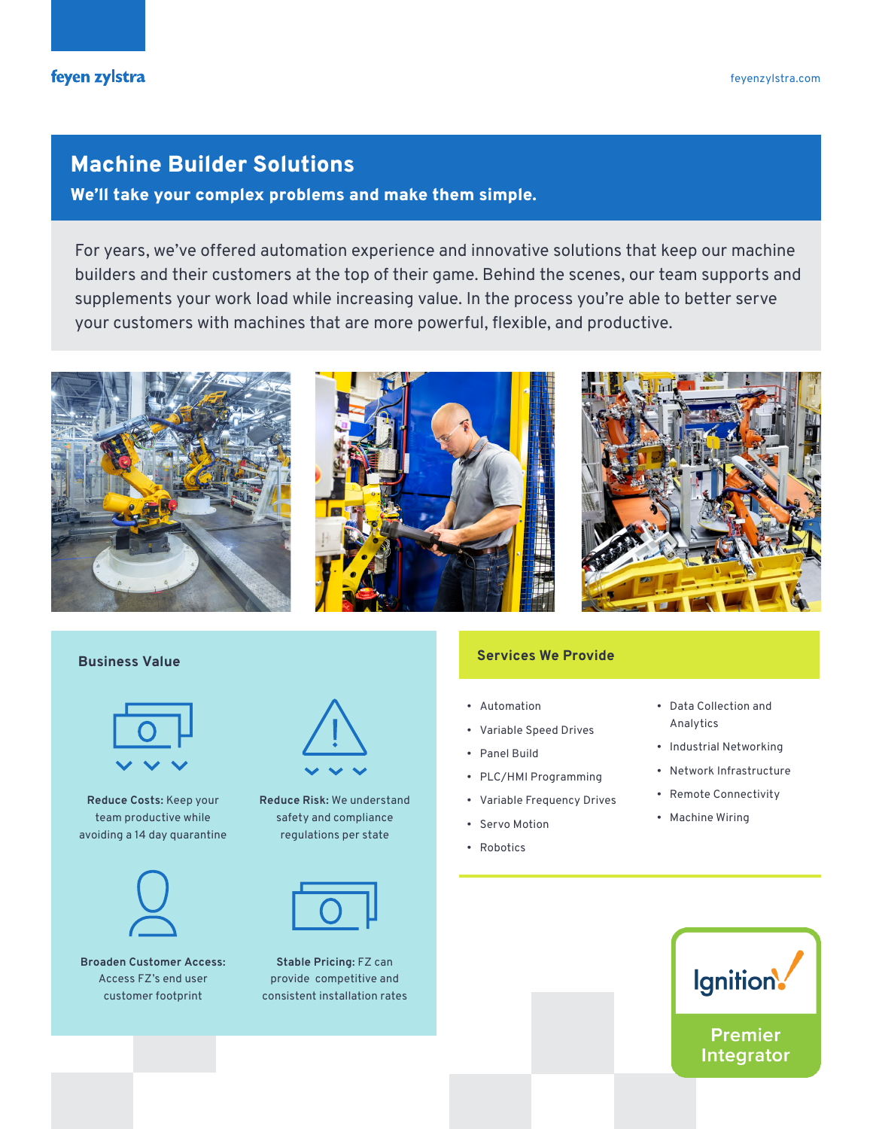# Machine Builder Solutions

We'll take your complex problems and make them simple.

For years, we've offered automation experience and innovative solutions that keep our machine builders and their customers at the top of their game. Behind the scenes, our team supports and supplements your work load while increasing value. In the process you're able to better serve your customers with machines that are more powerful, flexible, and productive.





**Reduce Costs:** Keep your team productive while avoiding a 14 day quarantine



**Broaden Customer Access:**  Access FZ's end user customer footprint



**Reduce Risk:** We understand safety and compliance regulations per state



**Stable Pricing:** FZ can provide competitive and consistent installation rates

### **Services We Provide Business Value**

- Automation
- Variable Speed Drives
- Panel Build
- PLC/HMI Programming
- Variable Frequency Drives
- Servo Motion
- Robotics
- Data Collection and Analytics
- Industrial Networking
- Network Infrastructure
- Remote Connectivity
- Machine Wiring